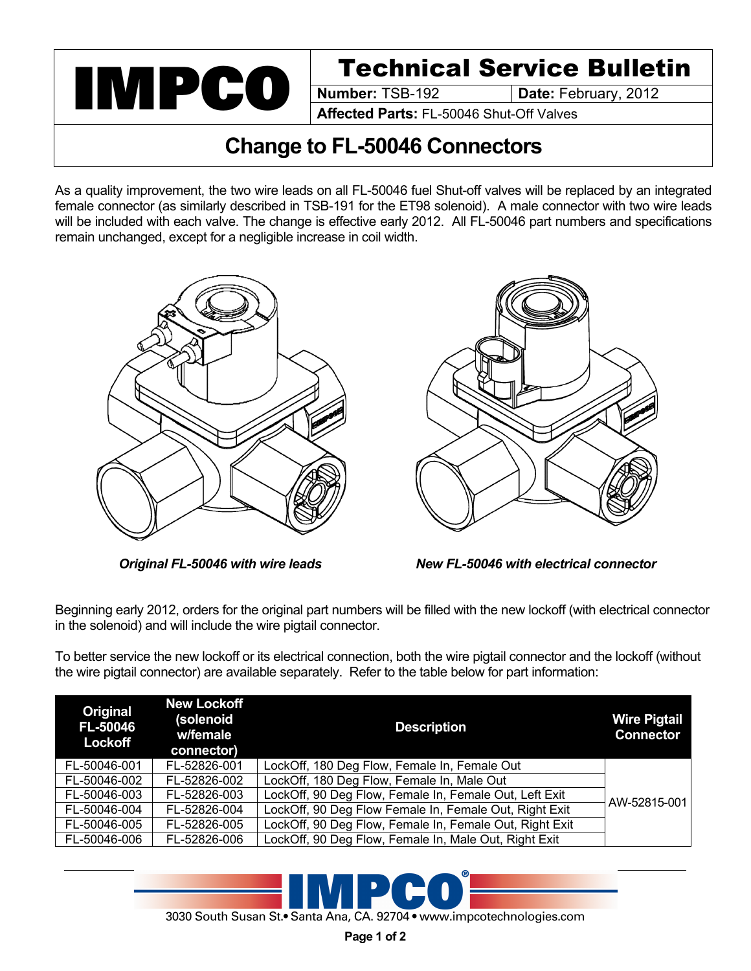

**Date: February, 2012** 

**Affected Parts:** FL-50046 Shut-Off Valves

## **Change to FL-50046 Connectors**

As a quality improvement, the two wire leads on all FL-50046 fuel Shut-off valves will be replaced by an integrated female connector (as similarly described in TSB-191 for the ET98 solenoid). A male connector with two wire leads will be included with each valve. The change is effective early 2012. All FL-50046 part numbers and specifications remain unchanged, except for a negligible increase in coil width.





*Original FL-50046 with wire leads New FL-50046 with electrical connector*

Beginning early 2012, orders for the original part numbers will be filled with the new lockoff (with electrical connector in the solenoid) and will include the wire pigtail connector.

To better service the new lockoff or its electrical connection, both the wire pigtail connector and the lockoff (without the wire pigtail connector) are available separately. Refer to the table below for part information:

| Original<br><b>FL-50046</b><br>Lockoff | <b>New Lockoff</b><br>(solenoid<br>w/female<br>connector) | <b>Description</b>                                      | <b>Wire Pigtail</b><br><b>Connector</b> |
|----------------------------------------|-----------------------------------------------------------|---------------------------------------------------------|-----------------------------------------|
| FL-50046-001                           | FL-52826-001                                              | LockOff, 180 Deg Flow, Female In, Female Out            |                                         |
| FL-50046-002                           | FL-52826-002                                              | LockOff, 180 Deg Flow, Female In, Male Out              |                                         |
| FL-50046-003                           | FL-52826-003                                              | LockOff, 90 Deg Flow, Female In, Female Out, Left Exit  | AW-52815-001                            |
| FL-50046-004                           | FL-52826-004                                              | LockOff, 90 Deg Flow Female In, Female Out, Right Exit  |                                         |
| FL-50046-005                           | FL-52826-005                                              | LockOff, 90 Deg Flow, Female In, Female Out, Right Exit |                                         |
| FL-50046-006                           | FL-52826-006                                              | LockOff, 90 Deg Flow, Female In, Male Out, Right Exit   |                                         |